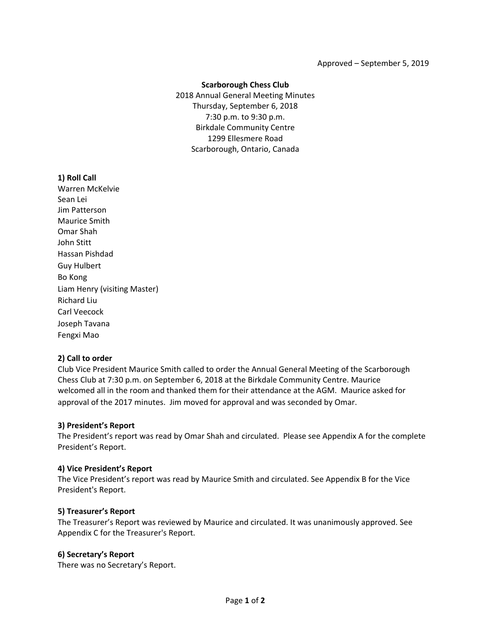## **Scarborough Chess Club**

2018 Annual General Meeting Minutes Thursday, September 6, 2018 7:30 p.m. to 9:30 p.m. Birkdale Community Centre 1299 Ellesmere Road Scarborough, Ontario, Canada

## **1) Roll Call**

Warren McKelvie Sean Lei Jim Patterson Maurice Smith Omar Shah John Stitt Hassan Pishdad Guy Hulbert Bo Kong Liam Henry (visiting Master) Richard Liu Carl Veecock Joseph Tavana Fengxi Mao

## **2) Call to order**

Club Vice President Maurice Smith called to order the Annual General Meeting of the Scarborough Chess Club at 7:30 p.m. on September 6, 2018 at the Birkdale Community Centre. Maurice welcomed all in the room and thanked them for their attendance at the AGM. Maurice asked for approval of the 2017 minutes. Jim moved for approval and was seconded by Omar.

## **3) President's Report**

The President's report was read by Omar Shah and circulated. Please see Appendix A for the complete President's Report.

## **4) Vice President's Report**

The Vice President's report was read by Maurice Smith and circulated. See Appendix B for the Vice President's Report.

## **5) Treasurer's Report**

The Treasurer's Report was reviewed by Maurice and circulated. It was unanimously approved. See Appendix C for the Treasurer's Report.

## **6) Secretary's Report**

There was no Secretary's Report.